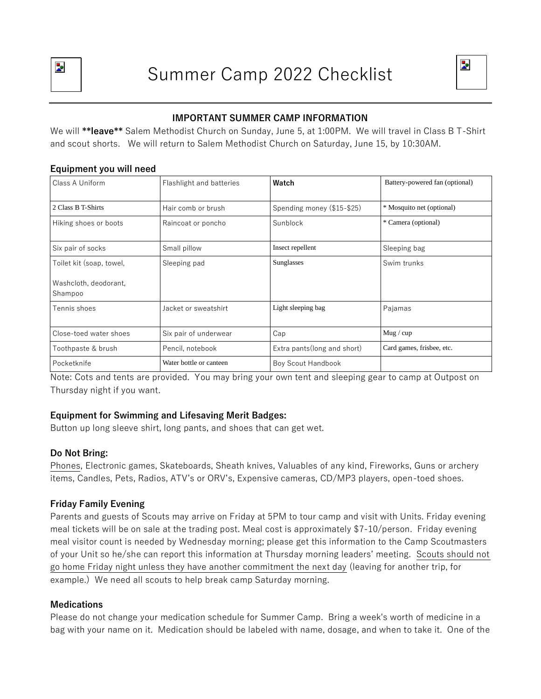



# **IMPORTANT SUMMER CAMP INFORMATION**

We will **\*\*leave\*\*** Salem Methodist Church on Sunday, June 5, at 1:00PM. We will travel in Class B T-Shirt and scout shorts. We will return to Salem Methodist Church on Saturday, June 15, by 10:30AM.

| Class A Uniform                  | Flashlight and batteries | Watch                        | Battery-powered fan (optional) |
|----------------------------------|--------------------------|------------------------------|--------------------------------|
| 2 Class B T-Shirts               | Hair comb or brush       | Spending money (\$15-\$25)   | * Mosquito net (optional)      |
| Hiking shoes or boots            | Raincoat or poncho       | Sunblock                     | * Camera (optional)            |
| Six pair of socks                | Small pillow             | Insect repellent             | Sleeping bag                   |
| Toilet kit (soap, towel,         | Sleeping pad             | Sunglasses                   | Swim trunks                    |
| Washcloth, deodorant,<br>Shampoo |                          |                              |                                |
| Tennis shoes                     | Jacket or sweatshirt     | Light sleeping bag           | Pajamas                        |
| Close-toed water shoes           | Six pair of underwear    | Cap                          | Mug / cup                      |
| Toothpaste & brush               | Pencil, notebook         | Extra pants (long and short) | Card games, frisbee, etc.      |
| Pocketknife                      | Water bottle or canteen  | Boy Scout Handbook           |                                |

#### **Equipment you will need**

Note: Cots and tents are provided. You may bring your own tent and sleeping gear to camp at Outpost on Thursday night if you want.

## **Equipment for Swimming and Lifesaving Merit Badges:**

Button up long sleeve shirt, long pants, and shoes that can get wet.

## **Do Not Bring:**

Phones, Electronic games, Skateboards, Sheath knives, Valuables of any kind, Fireworks, Guns or archery items, Candles, Pets, Radios, ATV's or ORV's, Expensive cameras, CD/MP3 players, open-toed shoes.

## **Friday Family Evening**

Parents and guests of Scouts may arrive on Friday at 5PM to tour camp and visit with Units. Friday evening meal tickets will be on sale at the trading post. Meal cost is approximately \$7-10/person. Friday evening meal visitor count is needed by Wednesday morning; please get this information to the Camp Scoutmasters of your Unit so he/she can report this information at Thursday morning leaders' meeting. Scouts should not go home Friday night unless they have another commitment the next day (leaving for another trip, for example.) We need all scouts to help break camp Saturday morning.

#### **Medications**

Please do not change your medication schedule for Summer Camp. Bring a week's worth of medicine in a bag with your name on it. Medication should be labeled with name, dosage, and when to take it. One of the